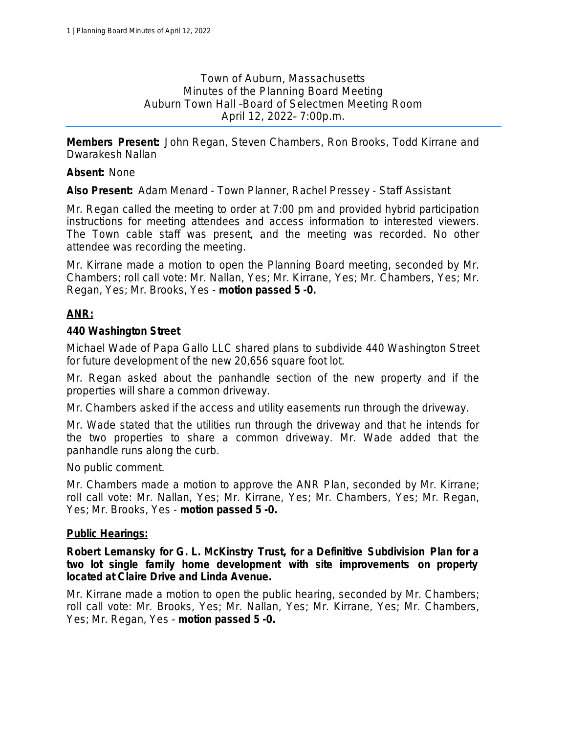Town of Auburn, Massachusetts Minutes of the Planning Board Meeting Auburn Town Hall –Board of Selectmen Meeting Room April 12, 2022– 7:00p.m.

**Members Present:** John Regan, Steven Chambers, Ron Brooks, Todd Kirrane and Dwarakesh Nallan

#### **Absent:** None

**Also Present:** Adam Menard - Town Planner, Rachel Pressey - Staff Assistant

Mr. Regan called the meeting to order at 7:00 pm and provided hybrid participation instructions for meeting attendees and access information to interested viewers. The Town cable staff was present, and the meeting was recorded. No other attendee was recording the meeting.

Mr. Kirrane made a motion to open the Planning Board meeting, seconded by Mr. Chambers; *roll call vote: Mr. Nallan, Yes; Mr. Kirrane, Yes; Mr. Chambers, Yes; Mr. Regan, Yes; Mr. Brooks, Yes* - *motion passed 5 -0.*

# **ANR:**

#### **440 Washington Street**

Michael Wade of Papa Gallo LLC shared plans to subdivide 440 Washington Street for future development of the new 20,656 square foot lot.

Mr. Regan asked about the panhandle section of the new property and if the properties will share a common driveway.

Mr. Chambers asked if the access and utility easements run through the driveway.

Mr. Wade stated that the utilities run through the driveway and that he intends for the two properties to share a common driveway. Mr. Wade added that the panhandle runs along the curb.

No public comment.

Mr. Chambers made a motion to approve the ANR Plan, seconded by Mr. Kirrane; *roll call vote: Mr. Nallan, Yes; Mr. Kirrane, Yes; Mr. Chambers, Yes; Mr. Regan, Yes; Mr. Brooks, Yes* - *motion passed 5 -0.*

#### **Public Hearings:**

**Robert Lemansky for G. L. McKinstry Trust, for a Definitive Subdivision Plan for a two lot single family home development with site improvements on property located at Claire Drive and Linda Avenue.**

Mr. Kirrane made a motion to open the public hearing, seconded by Mr. Chambers; *roll call vote: Mr. Brooks, Yes; Mr. Nallan, Yes; Mr. Kirrane, Yes; Mr. Chambers, Yes; Mr. Regan, Yes* - *motion passed 5 -0.*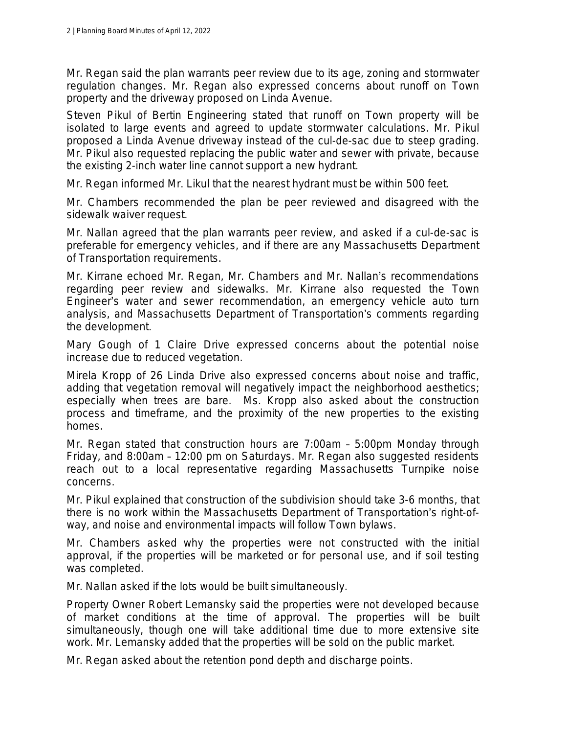Mr. Regan said the plan warrants peer review due to its age, zoning and stormwater regulation changes. Mr. Regan also expressed concerns about runoff on Town property and the driveway proposed on Linda Avenue.

Steven Pikul of Bertin Engineering stated that runoff on Town property will be isolated to large events and agreed to update stormwater calculations. Mr. Pikul proposed a Linda Avenue driveway instead of the cul-de-sac due to steep grading. Mr. Pikul also requested replacing the public water and sewer with private, because the existing 2-inch water line cannot support a new hydrant.

Mr. Regan informed Mr. Likul that the nearest hydrant must be within 500 feet.

Mr. Chambers recommended the plan be peer reviewed and disagreed with the sidewalk waiver request.

Mr. Nallan agreed that the plan warrants peer review, and asked if a cul-de-sac is preferable for emergency vehicles, and if there are any Massachusetts Department of Transportation requirements.

Mr. Kirrane echoed Mr. Regan, Mr. Chambers and Mr. Nallan's recommendations regarding peer review and sidewalks. Mr. Kirrane also requested the Town Engineer's water and sewer recommendation, an emergency vehicle auto turn analysis, and Massachusetts Department of Transportation's comments regarding the development.

Mary Gough of 1 Claire Drive expressed concerns about the potential noise increase due to reduced vegetation.

Mirela Kropp of 26 Linda Drive also expressed concerns about noise and traffic, adding that vegetation removal will negatively impact the neighborhood aesthetics; especially when trees are bare. Ms. Kropp also asked about the construction process and timeframe, and the proximity of the new properties to the existing homes.

Mr. Regan stated that construction hours are 7:00am – 5:00pm Monday through Friday, and 8:00am – 12:00 pm on Saturdays. Mr. Regan also suggested residents reach out to a local representative regarding Massachusetts Turnpike noise concerns.

Mr. Pikul explained that construction of the subdivision should take 3-6 months, that there is no work within the Massachusetts Department of Transportation's right-ofway, and noise and environmental impacts will follow Town bylaws.

Mr. Chambers asked why the properties were not constructed with the initial approval, if the properties will be marketed or for personal use, and if soil testing was completed.

Mr. Nallan asked if the lots would be built simultaneously.

Property Owner Robert Lemansky said the properties were not developed because of market conditions at the time of approval. The properties will be built simultaneously, though one will take additional time due to more extensive site work. Mr. Lemansky added that the properties will be sold on the public market.

Mr. Regan asked about the retention pond depth and discharge points.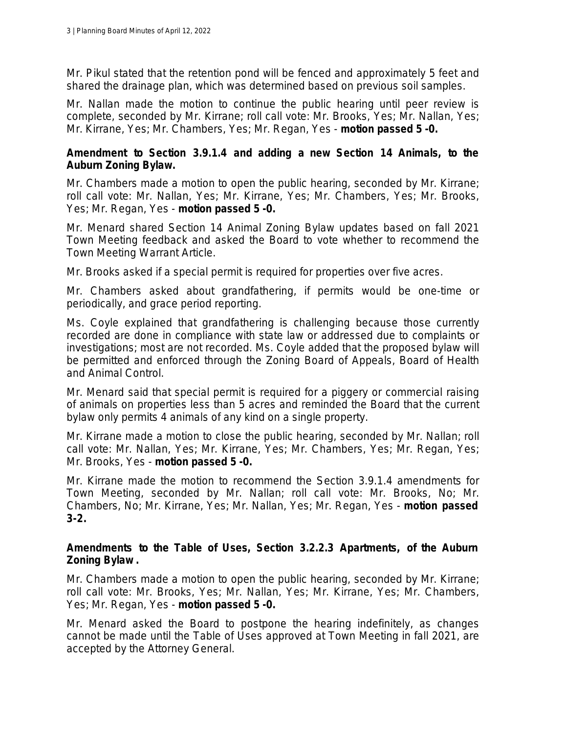Mr. Pikul stated that the retention pond will be fenced and approximately 5 feet and shared the drainage plan, which was determined based on previous soil samples.

Mr. Nallan made the motion to continue the public hearing until peer review is complete, seconded by Mr. Kirrane; *roll call vote: Mr. Brooks, Yes; Mr. Nallan, Yes; Mr. Kirrane, Yes; Mr. Chambers, Yes; Mr. Regan, Yes* - *motion passed 5 -0.*

# **Amendment to Section 3.9.1.4 and adding a new Section 14 Animals, to the Auburn Zoning Bylaw.**

Mr. Chambers made a motion to open the public hearing, seconded by Mr. Kirrane; *roll call vote: Mr. Nallan, Yes; Mr. Kirrane, Yes; Mr. Chambers, Yes; Mr. Brooks, Yes; Mr. Regan, Yes* - *motion passed 5 -0.*

Mr. Menard shared Section 14 Animal Zoning Bylaw updates based on fall 2021 Town Meeting feedback and asked the Board to vote whether to recommend the Town Meeting Warrant Article.

Mr. Brooks asked if a special permit is required for properties over five acres.

Mr. Chambers asked about grandfathering, if permits would be one-time or periodically, and grace period reporting.

Ms. Coyle explained that grandfathering is challenging because those currently recorded are done in compliance with state law or addressed due to complaints or investigations; most are not recorded. Ms. Coyle added that the proposed bylaw will be permitted and enforced through the Zoning Board of Appeals, Board of Health and Animal Control.

Mr. Menard said that special permit is required for a piggery or commercial raising of animals on properties less than 5 acres and reminded the Board that the current bylaw only permits 4 animals of any kind on a single property.

Mr. Kirrane made a motion to close the public hearing, seconded by Mr. Nallan; *roll call vote: Mr. Nallan, Yes; Mr. Kirrane, Yes; Mr. Chambers, Yes; Mr. Regan, Yes; Mr. Brooks, Yes* - *motion passed 5 -0.*

Mr. Kirrane made the motion to recommend the Section 3.9.1.4 amendments for Town Meeting, seconded by Mr. Nallan; *roll call vote: Mr. Brooks, No; Mr. Chambers, No; Mr. Kirrane, Yes; Mr. Nallan, Yes; Mr. Regan, Yes* - *motion passed 3-2.*

# **Amendments to the Table of Uses, Section 3.2.2.3 Apartments, of the Auburn Zoning Bylaw .**

Mr. Chambers made a motion to open the public hearing, seconded by Mr. Kirrane; *roll call vote: Mr. Brooks, Yes; Mr. Nallan, Yes; Mr. Kirrane, Yes; Mr. Chambers, Yes; Mr. Regan, Yes* - *motion passed 5 -0.*

Mr. Menard asked the Board to postpone the hearing indefinitely, as changes cannot be made until the Table of Uses approved at Town Meeting in fall 2021, are accepted by the Attorney General.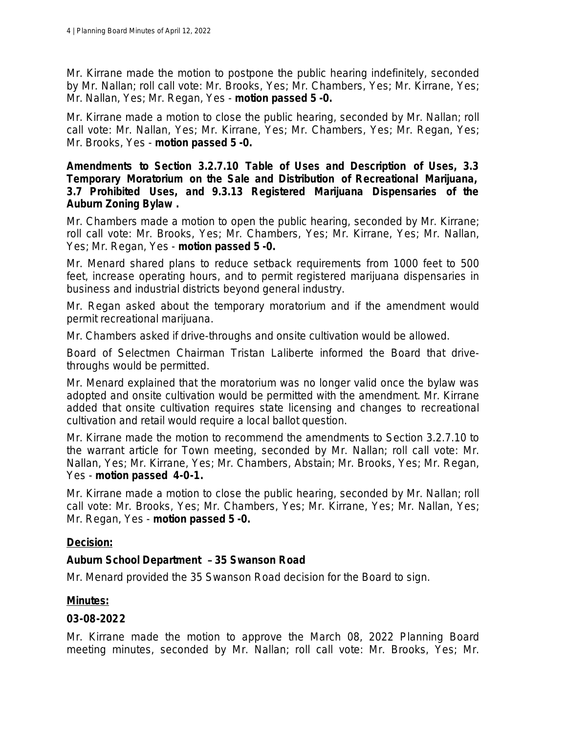Mr. Kirrane made the motion to postpone the public hearing indefinitely, seconded by Mr. Nallan; *roll call vote: Mr. Brooks, Yes; Mr. Chambers, Yes; Mr. Kirrane, Yes; Mr. Nallan, Yes; Mr. Regan, Yes* - *motion passed 5 -0.*

Mr. Kirrane made a motion to close the public hearing, seconded by Mr. Nallan; *roll call vote: Mr. Nallan, Yes; Mr. Kirrane, Yes; Mr. Chambers, Yes; Mr. Regan, Yes; Mr. Brooks, Yes* - *motion passed 5 -0.*

**Amendments to Section 3.2.7.10 Table of Uses and Description of Uses, 3.3 Temporary Moratorium on the Sale and Distribution of Recreational Marijuana, 3.7 Prohibited Uses, and 9.3.13 Registered Marijuana Dispensaries of the Auburn Zoning Bylaw .**

Mr. Chambers made a motion to open the public hearing, seconded by Mr. Kirrane; *roll call vote: Mr. Brooks, Yes; Mr. Chambers, Yes; Mr. Kirrane, Yes; Mr. Nallan, Yes; Mr. Regan, Yes* - *motion passed 5 -0.*

Mr. Menard shared plans to reduce setback requirements from 1000 feet to 500 feet, increase operating hours, and to permit registered marijuana dispensaries in business and industrial districts beyond general industry.

Mr. Regan asked about the temporary moratorium and if the amendment would permit recreational marijuana.

Mr. Chambers asked if drive-throughs and onsite cultivation would be allowed.

Board of Selectmen Chairman Tristan Laliberte informed the Board that drivethroughs would be permitted.

Mr. Menard explained that the moratorium was no longer valid once the bylaw was adopted and onsite cultivation would be permitted with the amendment. Mr. Kirrane added that onsite cultivation requires state licensing and changes to recreational cultivation and retail would require a local ballot question.

Mr. Kirrane made the motion to recommend the amendments to Section 3.2.7.10 to the warrant article for Town meeting, seconded by Mr. Nallan; *roll call vote: Mr. Nallan, Yes; Mr. Kirrane, Yes; Mr. Chambers, Abstain; Mr. Brooks, Yes; Mr. Regan, Yes* - *motion passed 4-0-1.*

Mr. Kirrane made a motion to close the public hearing, seconded by Mr. Nallan; *roll call vote: Mr. Brooks, Yes; Mr. Chambers, Yes; Mr. Kirrane, Yes; Mr. Nallan, Yes; Mr. Regan, Yes* - *motion passed 5 -0.*

# **Decision:**

# **Auburn School Department** – **35 Swanson Road**

Mr. Menard provided the 35 Swanson Road decision for the Board to sign.

# **Minutes:**

#### **03-08-2022**

Mr. Kirrane made the motion to approve the March 08, 2022 Planning Board meeting minutes, seconded by Mr. Nallan; *roll call vote: Mr. Brooks, Yes; Mr.*